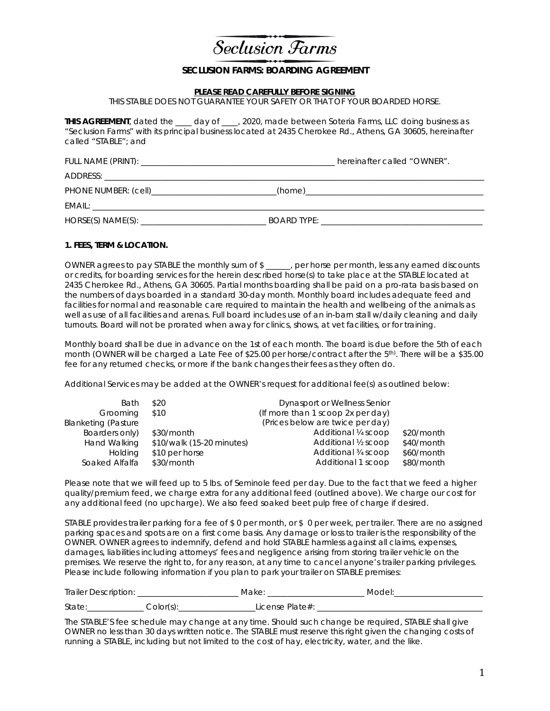

## **SECLUSION FARMS: BOARDING AGREEMENT**

#### **PLEASE READ CAREFULLY BEFORE SIGNING**

THIS STABLE DOES NOT GUARANTEE YOUR SAFETY OR THAT OF YOUR BOARDED HORSE.

**THIS AGREEMENT**, dated the \_\_\_\_ day of \_\_\_\_, 2020, made between Soteria Farms, LLC doing business as "Seclusion Farms" with its principal business located at 2435 Cherokee Rd., Athens, GA 30605, hereinafter called "STABLE"; and

| hereinafter called "OWNER". |
|-----------------------------|
|                             |
|                             |
|                             |
|                             |

### **1. FEES, TERM & LOCATION.**

OWNER agrees to pay STABLE the monthly sum of \$ \_\_\_\_\_\_, per horse per month, less any earned discounts or credits, for boarding services for the herein described horse(s) to take place at the STABLE located at 2435 Cherokee Rd., Athens, GA 30605. Partial months boarding shall be paid on a pro-rata basis based on the numbers of days boarded in a standard 30-day month. Monthly board includes adequate feed and facilities for normal and reasonable care required to maintain the health and wellbeing of the animals as well as use of all facilities and arenas. Full board includes use of an in-barn stall w/daily cleaning and daily turnouts. Board will not be prorated when away for clinics, shows, at vet facilities, or for training.

Monthly board shall be due in advance on the 1st of each month. The board is due before the 5th of each month (OWNER will be charged a Late Fee of \$25.00 per horse/contract after the 5th). There will be a \$35.00 fee for any returned checks, or more if the bank changes their fees as they often do.

Additional Services may be added at the OWNER's request for additional fee(s) as outlined below:

| Bath                       | \$20                      | Dynasport or Wellness Senior      |            |
|----------------------------|---------------------------|-----------------------------------|------------|
| Grooming                   | \$10                      | (If more than 1 scoop 2x per day) |            |
| <b>Blanketing (Pasture</b> |                           | (Prices below are twice per day)  |            |
| Boarders only)             | \$30/month                | Additional 1/4 scoop              | \$20/month |
| Hand Walking               | \$10/walk (15-20 minutes) | Additional 1/2 scoop              | \$40/month |
| <b>Holding</b>             | \$10 per horse            | Additional 34 scoop               | \$60/month |
| Soaked Alfalfa             | \$30/month                | Additional 1 scoop                | \$80/month |
|                            |                           |                                   |            |

Please note that we will feed up to 5 lbs. of Seminole feed per day. Due to the fact that we feed a higher quality/premium feed, we charge extra for any additional feed (outlined above). We charge our cost for any additional feed (no upcharge). We also feed soaked beet pulp free of charge if desired.

STABLE provides trailer parking for a fee of \$0 per month, or \$0 per week, per trailer. There are no assigned parking spaces and spots are on a first come basis. Any damage or loss to trailer is the responsibility of the OWNER. OWNER agrees to indemnify, defend and hold STABLE harmless against all claims, expenses, damages, liabilities including attorneys' fees and negligence arising from storing trailer vehicle on the premises. We reserve the right to, for any reason, at any time to cancel anyone's trailer parking privileges. Please include following information if you plan to park your trailer on STABLE premises:

| Trailer Description: |          | Make                | Model <sup>.</sup> |
|----------------------|----------|---------------------|--------------------|
| State:               | Color(s' | License Plate $#$ : |                    |

The STABLE'S fee schedule may change at any time. Should such change be required, STABLE shall give OWNER no less than 30 days written notice. The STABLE must reserve this right given the changing costs of running a STABLE, including but not limited to the cost of hay, electricity, water, and the like.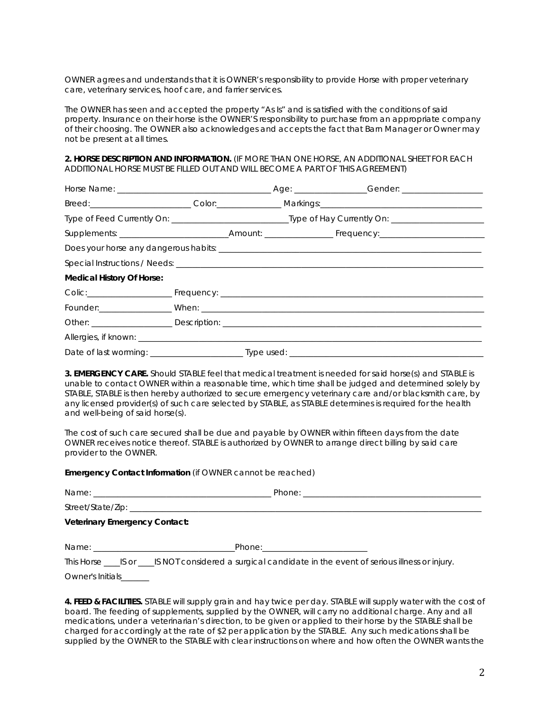OWNER agrees and understands that it is OWNER's responsibility to provide Horse with proper veterinary care, veterinary services, hoof care, and farrier services.

The OWNER has seen and accepted the property "As Is" and is satisfied with the conditions of said property. Insurance on their horse is the OWNER'S responsibility to purchase from an appropriate company of their choosing. The OWNER also acknowledges and accepts the fact that Barn Manager or Owner may not be present at all times.

**2. HORSE DESCRIPTION AND INFORMATION.** (IF MORE THAN ONE HORSE, AN ADDITIONAL SHEET FOR EACH ADDITIONAL HORSE MUST BE FILLED OUT AND WILL BECOME A PART OF THIS AGREEMENT)

| <b>Medical History Of Horse:</b> |  |  |  |  |
|----------------------------------|--|--|--|--|
|                                  |  |  |  |  |
|                                  |  |  |  |  |
|                                  |  |  |  |  |
|                                  |  |  |  |  |
|                                  |  |  |  |  |

**3. EMERGENCY CARE.** Should STABLE feel that medical treatment is needed for said horse(s) and STABLE is unable to contact OWNER within a reasonable time, which time shall be judged and determined solely by STABLE, STABLE is then hereby authorized to secure emergency veterinary care and/or blacksmith care, by any licensed provider(s) of such care selected by STABLE, as STABLE determines is required for the health and well-being of said horse(s).

The cost of such care secured shall be due and payable by OWNER within fifteen days from the date OWNER receives notice thereof. STABLE is authorized by OWNER to arrange direct billing by said care provider to the OWNER.

**Emergency Contact Information** (if OWNER cannot be reached)

| Name:                                | Phone: |
|--------------------------------------|--------|
| Street/State/Zip: _                  |        |
| <b>Veterinary Emergency Contact:</b> |        |

Name: \_\_\_\_\_\_\_\_\_\_\_\_\_\_\_\_\_\_\_\_\_\_\_\_\_\_\_\_\_\_\_\_\_\_\_Phone:\_\_\_\_\_\_\_\_\_\_\_\_\_\_\_\_\_\_\_\_\_\_\_\_\_\_

This Horse \_\_\_\_\_IS or \_\_\_\_\_IS NOT considered a surgical candidate in the event of serious illness or injury.

Owner's Initials\_

**4. FEED & FACILITIES.** STABLE will supply grain and hay twice per day. STABLE will supply water with the cost of board. The feeding of supplements, supplied by the OWNER, will carry no additional charge. Any and all medications, under a veterinarian's direction, to be given or applied to their horse by the STABLE shall be charged for accordingly at the rate of \$2 per application by the STABLE. Any such medications shall be supplied by the OWNER to the STABLE with clear instructions on where and how often the OWNER wants the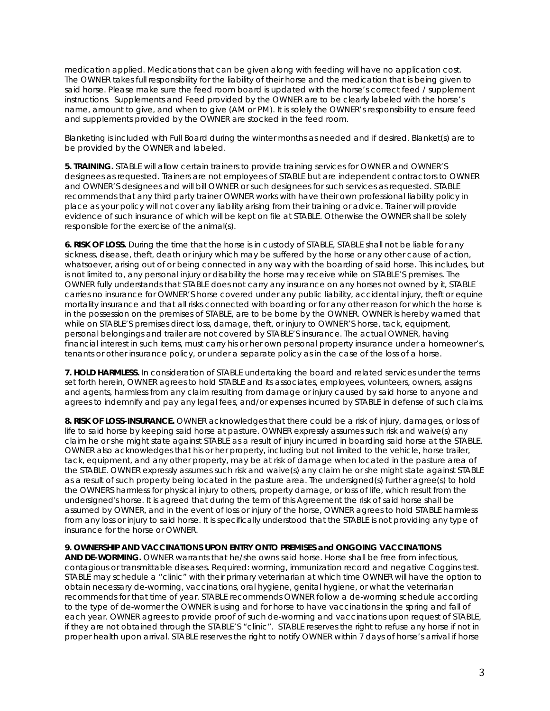medication applied. Medications that can be given along with feeding will have no application cost. The OWNER takes full responsibility for the liability of their horse and the medication that is being given to said horse. Please make sure the feed room board is updated with the horse's correct feed / supplement instructions. Supplements and Feed provided by the OWNER are to be clearly labeled with the horse's name, amount to give, and when to give (AM or PM). It is solely the OWNER's responsibility to ensure feed and supplements provided by the OWNER are stocked in the feed room.

Blanketing is included with Full Board during the winter months as needed and if desired. Blanket(s) are to be provided by the OWNER and labeled.

**5. TRAINING.** STABLE will allow certain trainers to provide training services for OWNER and OWNER'S designees as requested. Trainers are not employees of STABLE but are independent contractors to OWNER and OWNER'S designees and will bill OWNER or such designees for such services as requested. STABLE recommends that any third party trainer OWNER works with have their own professional liability policy in place as your policy will not cover any liability arising from their training or advice. Trainer will provide evidence of such insurance of which will be kept on file at STABLE. Otherwise the OWNER shall be solely responsible for the exercise of the animal(s).

**6. RISK OF LOSS.** During the time that the horse is in custody of STABLE, STABLE shall not be liable for any sickness, disease, theft, death or injury which may be suffered by the horse or any other cause of action, whatsoever, arising out of or being connected in any way with the boarding of said horse. This includes, but is not limited to, any personal injury or disability the horse may receive while on STABLE'S premises. The OWNER fully understands that STABLE does not carry any insurance on any horses not owned by it, STABLE carries no insurance for OWNER'S horse covered under any public liability, accidental injury, theft or equine mortality insurance and that all risks connected with boarding or for any other reason for which the horse is in the possession on the premises of STABLE, are to be borne by the OWNER. OWNER is hereby warned that while on STABLE'S premises direct loss, damage, theft, or injury to OWNER'S horse, tack, equipment, personal belongings and trailer are not covered by STABLE'S insurance. The actual OWNER, having financial interest in such items, must carry his or her own personal property insurance under a homeowner's, tenants or other insurance policy, or under a separate policy as in the case of the loss of a horse.

**7. HOLD HARMLESS.** In consideration of STABLE undertaking the board and related services under the terms set forth herein, OWNER agrees to hold STABLE and its associates, employees, volunteers, owners, assigns and agents, harmless from any claim resulting from damage or injury caused by said horse to anyone and agrees to indemnify and pay any legal fees, and/or expenses incurred by STABLE in defense of such claims.

**8. RISK OF LOSS-INSURANCE.** OWNER acknowledges that there could be a risk of injury, damages, or loss of life to said horse by keeping said horse at pasture. OWNER expressly assumes such risk and waive(s) any claim he or she might state against STABLE as a result of injury incurred in boarding said horse at the STABLE. OWNER also acknowledges that his or her property, including but not limited to the vehicle, horse trailer, tack, equipment, and any other property, may be at risk of damage when located in the pasture area of the STABLE. OWNER expressly assumes such risk and waive(s) any claim he or she might state against STABLE as a result of such property being located in the pasture area. The undersigned(s) further agree(s) to hold the OWNERS harmless for physical injury to others, property damage, or loss of life, which result from the undersigned's horse. It is agreed that during the term of this Agreement the risk of said horse shall be assumed by OWNER, and in the event of loss or injury of the horse, OWNER agrees to hold STABLE harmless from any loss or injury to said horse. It is specifically understood that the STABLE is not providing any type of insurance for the horse or OWNER.

### **9. OWNERSHIP AND VACCINATIONS UPON ENTRY ONTO PREMISES and ONGOING VACCINATIONS**

**AND DE-WORMING.** OWNER warrants that he/she owns said horse. Horse shall be free from infectious, contagious or transmittable diseases. Required: worming, immunization record and negative Coggins test. STABLE may schedule a "clinic" with their primary veterinarian at which time OWNER will have the option to obtain necessary de-worming, vaccinations, oral hygiene, genital hygiene, or what the veterinarian recommends for that time of year. STABLE recommends OWNER follow a de-worming schedule according to the type of de-wormer the OWNER is using and for horse to have vaccinations in the spring and fall of each year. OWNER agrees to provide proof of such de-worming and vaccinations upon request of STABLE, if they are not obtained through the STABLE'S "clinic". STABLE reserves the right to refuse any horse if not in proper health upon arrival. STABLE reserves the right to notify OWNER within 7 days of horse's arrival if horse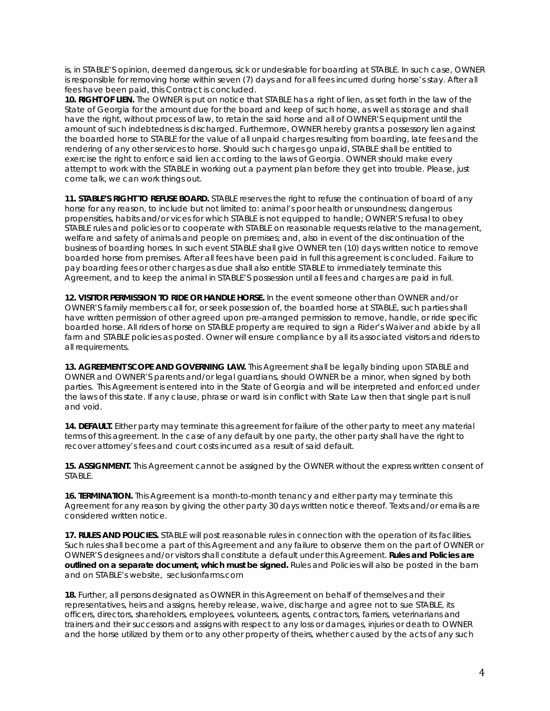is, in STABLE'S opinion, deemed dangerous, sick or undesirable for boarding at STABLE. In such case, OWNER is responsible for removing horse within seven (7) days and for all fees incurred during horse's stay. After all fees have been paid, this Contract is concluded.

**10. RIGHT OF LIEN.** The OWNER is put on notice that STABLE has a right of lien, as set forth in the law of the State of Georgia for the amount due for the board and keep of such horse, as well as storage and shall have the right, without process of law, to retain the said horse and all of OWNER'S equipment until the amount of such indebtedness is discharged. Furthermore, OWNER hereby grants a possessory lien against the boarded horse to STABLE for the value of all unpaid charges resulting from boarding, late fees and the rendering of any other services to horse. Should such charges go unpaid, STABLE shall be entitled to exercise the right to enforce said lien according to the laws of Georgia. OWNER should make every attempt to work with the STABLE in working out a payment plan before they get into trouble. Please, just come talk, we can work things out.

**11. STABLE'S RIGHT TO REFUSE BOARD.** STABLE reserves the right to refuse the continuation of board of any horse for any reason, to include but not limited to: animal's poor health or unsoundness; dangerous propensities, habits and/or vices for which STABLE is not equipped to handle; OWNER'S refusal to obey STABLE rules and policies or to cooperate with STABLE on reasonable requests relative to the management, welfare and safety of animals and people on premises; and, also in event of the discontinuation of the business of boarding horses. In such event STABLE shall give OWNER ten (10) days written notice to remove boarded horse from premises. After all fees have been paid in full this agreement is concluded. Failure to pay boarding fees or other charges as due shall also entitle STABLE to immediately terminate this Agreement, and to keep the animal in STABLE'S possession until all fees and charges are paid in full.

**12. VISITOR PERMISSION TO RIDE OR HANDLE HORSE.** In the event someone other than OWNER and/or OWNER'S family members call for, or seek possession of, the boarded horse at STABLE, such parties shall have written permission of other agreed upon pre-arranged permission to remove, handle, or ride specific boarded horse. All riders of horse on STABLE property are required to sign a Rider's Waiver and abide by all farm and STABLE policies as posted. Owner will ensure compliance by all its associated visitors and riders to all requirements.

**13. AGREEMENT SCOPE AND GOVERNING LAW.** This Agreement shall be legally binding upon STABLE and OWNER and OWNER'S parents and/or legal guardians, should OWNER be a minor, when signed by both parties. This Agreement is entered into in the State of Georgia and will be interpreted and enforced under the laws of this state. If any clause, phrase or ward is in conflict with State Law then that single part is null and void.

**14. DEFAULT.** Either party may terminate this agreement for failure of the other party to meet any material terms of this agreement. In the case of any default by one party, the other party shall have the right to recover attorney's fees and court costs incurred as a result of said default.

**15. ASSIGNMENT.** This Agreement cannot be assigned by the OWNER without the express written consent of STABLE.

**16. TERMINATION.** This Agreement is a month-to-month tenancy and either party may terminate this Agreement for any reason by giving the other party 30 days written notice thereof. Texts and/or emails are considered written notice.

**17. RULES AND POLICIES.** STABLE will post reasonable rules in connection with the operation of its facilities. Such rules shall become a part of this Agreement and any failure to observe them on the part of OWNER or OWNER'S designees and/or visitors shall constitute a default under this Agreement. **Rules and Policies are outlined on a separate document, which must be signed.** Rules and Policies will also be posted in the barn and on STABLE's website, seclusionfarms.com

**18.** Further, all persons designated as OWNER in this Agreement on behalf of themselves and their representatives, heirs and assigns, hereby release, waive, discharge and agree not to sue STABLE, its officers, directors, shareholders, employees, volunteers, agents, contractors, farriers, veterinarians and trainers and their successors and assigns with respect to any loss or damages, injuries or death to OWNER and the horse utilized by them or to any other property of theirs, whether caused by the acts of any such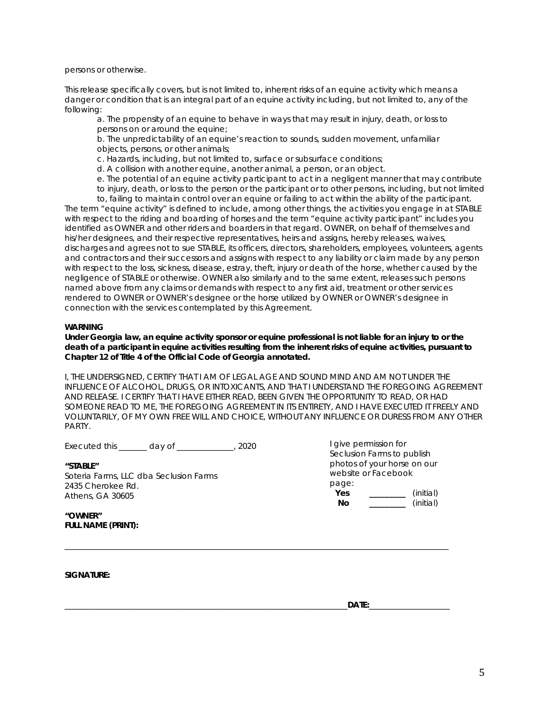persons or otherwise.

This release specifically covers, but is not limited to, inherent risks of an equine activity which means a danger or condition that is an integral part of an equine activity including, but not limited to, any of the following:

a. The propensity of an equine to behave in ways that may result in injury, death, or loss to persons on or around the equine;

b. The unpredictability of an equine's reaction to sounds, sudden movement, unfamiliar objects, persons, or other animals;

c. Hazards, including, but not limited to, surface or subsurface conditions;

d. A collision with another equine, another animal, a person, or an object.

e. The potential of an equine activity participant to act in a negligent manner that may contribute to injury, death, or loss to the person or the participant or to other persons, including, but not limited

to, failing to maintain control over an equine or failing to act within the ability of the participant. The term "equine activity" is defined to include, among other things, the activities you engage in at STABLE with respect to the riding and boarding of horses and the term "equine activity participant" includes you identified as OWNER and other riders and boarders in that regard. OWNER, on behalf of themselves and his/her designees, and their respective representatives, heirs and assigns, hereby releases, waives, discharges and agrees not to sue STABLE, its officers, directors, shareholders, employees, volunteers, agents and contractors and their successors and assigns with respect to any liability or claim made by any person with respect to the loss, sickness, disease, estray, theft, injury or death of the horse, whether caused by the negligence of STABLE or otherwise. OWNER also similarly and to the same extent, releases such persons named above from any claims or demands with respect to any first aid, treatment or other services rendered to OWNER or OWNER's designee or the horse utilized by OWNER or OWNER's designee in connection with the services contemplated by this Agreement.

### **WARNING**

**Under Georgia law, an equine activity sponsor or equine professional is not liable for an injury to or the death of a participant in equine activities resulting from the inherent risks of equine activities, pursuant to Chapter 12 of Title 4 of the Official Code of Georgia annotated.** 

I, THE UNDERSIGNED, CERTIFY THAT I AM OF LEGAL AGE AND SOUND MIND AND AM NOT UNDER THE INFLUENCE OF ALCOHOL, DRUGS, OR INTOXICANTS, AND THAT I UNDERSTAND THE FOREGOING AGREEMENT AND RELEASE. I CERTIFY THAT I HAVE EITHER READ, BEEN GIVEN THE OPPORTUNITY TO READ, OR HAD SOMEONE READ TO ME, THE FOREGOING AGREEMENT IN ITS ENTIRETY, AND I HAVE EXECUTED IT FREELY AND VOLUNTARILY, OF MY OWN FREE WILL AND CHOICE, WITHOUT ANY INFLUENCE OR DURESS FROM ANY OTHER PARTY.

 $\_$  ,  $\_$  ,  $\_$  ,  $\_$  ,  $\_$  ,  $\_$  ,  $\_$  ,  $\_$  ,  $\_$  ,  $\_$  ,  $\_$  ,  $\_$  ,  $\_$  ,  $\_$  ,  $\_$  ,  $\_$  ,  $\_$  ,  $\_$  ,  $\_$  ,  $\_$  ,  $\_$  ,  $\_$  ,  $\_$  ,  $\_$  ,  $\_$  ,  $\_$  ,  $\_$  ,  $\_$  ,  $\_$  ,  $\_$  ,  $\_$  ,  $\_$  ,  $\_$  ,  $\_$  ,  $\_$  ,  $\_$  ,  $\_$  ,

Executed this day of 2020

**"STABLE"**  Soteria Farms, LLC dba Seclusion Farms 2435 Cherokee Rd. Athens, GA 30605

I give permission for Seclusion Farms to publish photos of your horse on our website or Facebook page: **Yes \_\_\_\_\_\_\_\_\_** (initial) **No \_\_\_\_\_\_\_\_\_** (initial)

**"OWNER" FULL NAME (PRINT):** 

**SIGNATURE:** 

\_\_\_\_\_\_\_\_\_\_\_\_\_\_\_\_\_\_\_\_\_\_\_\_\_\_\_\_\_\_\_\_\_\_\_\_\_\_\_\_\_\_\_\_\_\_\_\_\_\_\_\_\_\_\_\_\_\_\_\_\_\_\_\_\_\_\_\_\_\_**DATE:**\_\_\_\_\_\_\_\_\_\_\_\_\_\_\_\_\_\_\_\_